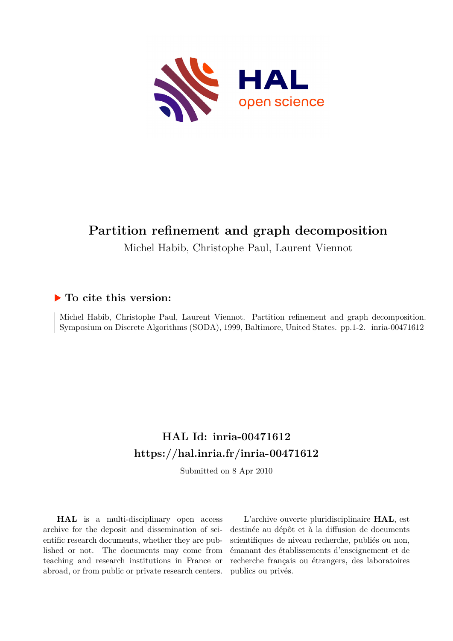

# **Partition refinement and graph decomposition**

Michel Habib, Christophe Paul, Laurent Viennot

### **To cite this version:**

Michel Habib, Christophe Paul, Laurent Viennot. Partition refinement and graph decomposition. Symposium on Discrete Algorithms (SODA), 1999, Baltimore, United States. pp.1-2. inria-00471612

# **HAL Id: inria-00471612 <https://hal.inria.fr/inria-00471612>**

Submitted on 8 Apr 2010

**HAL** is a multi-disciplinary open access archive for the deposit and dissemination of scientific research documents, whether they are published or not. The documents may come from teaching and research institutions in France or abroad, or from public or private research centers.

L'archive ouverte pluridisciplinaire **HAL**, est destinée au dépôt et à la diffusion de documents scientifiques de niveau recherche, publiés ou non, émanant des établissements d'enseignement et de recherche français ou étrangers, des laboratoires publics ou privés.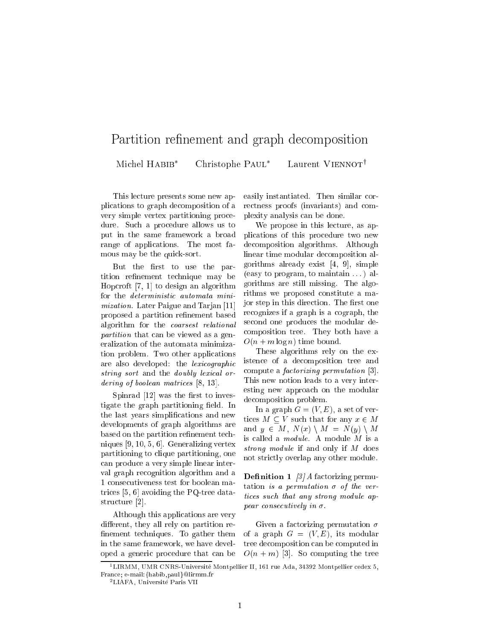#### Partition renement and graph decomposition Michel HABIB\* Christophe PAUL<sup>\*</sup> Laurent VIENNOT<sup>†</sup>

This lecture presents some new applications to graph decomposition of a very simple vertex partitioning procedure. Such a procedure allows us to put in the same framework a broad range of applications. The most famous may be the quick-sort.

But the first to use the partition refinement technique may be Hopcroft [7, 1] to design an algorithm for the deterministic automata minimization. Later Paigue and Tarjan [11] proposed a partition refinement based algorithm for the coarsest relational partition that can be viewed as a generalization of the automata minimization problem. Two other applications are also developed: the lexicographic string sort and the doubly lexical ordering of boolean matrices [8, 13].

Spinrad  $[12]$  was the first to investigate the graph partitioning field. In the last years simplications and new developments of graph algorithms are based on the partition refinement techniques [9, 10, 5, 6]. Generalizing vertex partitioning to clique partitioning, one can produce a very simple linear interval graph recognition algorithm and a 1 consecutiveness test for boolean matrices [5, 6] avoiding the PQ-tree datastructure [2].

Although this applications are very different, they all rely on partition renement techniques. To gather them in the same framework, we have developed a generic procedure that can be

easily instantiated. Then similar correctness proofs (invariants) and complexity analysis can be done.

We propose in this lecture, as applications of this procedure two new decomposition algorithms. Although linear time modular decomposition algorithms already exist [4, 9], simple (easy to program, to maintain . . . ) algorithms are still missing. The algorithms we proposed constitute a major step in this direction. The first one recognizes if a graph is a cograph, the second one produces the modular decomposition tree. They both have a  $O(n + m \log n)$  time bound.

These algorithms rely on the existence of a decomposition tree and compute a factorizing permutation [3]. This new notion leads to a very interesting new approach on the modular decomposition problem.

In a graph  $G = (V, E)$ , a set of vertices  $M \subset V$  such that for any  $x \in M$ and  $y \in M$ ,  $N(x) \setminus M = N(y) \setminus M$ is called a module. A module <sup>M</sup> is a strong module if and only if M does not strictly overlap any other module.

**Definition 1** [3] A factorizing permutation is a permutation  $\sigma$  of the vertices such that any strong module appear consecutively in  $\sigma$ .

Given a factorizing permutation  $\sigma$ of a graph  $G = (V, E)$ , its modular tree decomposition can be computed in  $O(n + m)$  [3]. So computing the tree

<sup>1</sup> LIRMM, UMR CNRS-Universite Montpellier II, 161 rue Ada, 34392 Montpellier cedex 5, France; e-mail:{habib,paul}@lirmm.fr

<sup>&</sup>lt;sup>2</sup>LIAFA, Université Paris VII